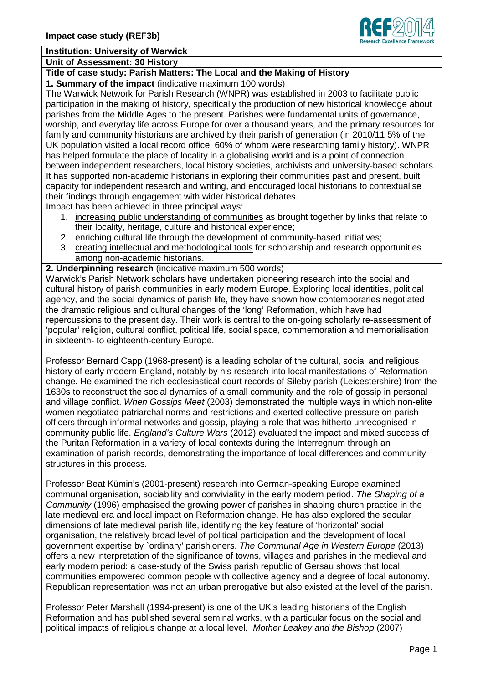

# **Institution: University of Warwick**

**Unit of Assessment: 30 History**

# **Title of case study: Parish Matters: The Local and the Making of History**

**1. Summary of the impact** (indicative maximum 100 words)

The Warwick Network for Parish Research (WNPR) was established in 2003 to facilitate public participation in the making of history, specifically the production of new historical knowledge about parishes from the Middle Ages to the present. Parishes were fundamental units of governance, worship, and everyday life across Europe for over a thousand years, and the primary resources for family and community historians are archived by their parish of generation (in 2010/11 5% of the UK population visited a local record office, 60% of whom were researching family history). WNPR has helped formulate the place of locality in a globalising world and is a point of connection between independent researchers, local history societies, archivists and university-based scholars. It has supported non-academic historians in exploring their communities past and present, built capacity for independent research and writing, and encouraged local historians to contextualise their findings through engagement with wider historical debates.

Impact has been achieved in three principal ways:

- 1. increasing public understanding of communities as brought together by links that relate to their locality, heritage, culture and historical experience;
- 2. enriching cultural life through the development of community-based initiatives;
- 3. creating intellectual and methodological tools for scholarship and research opportunities among non-academic historians.
- **2. Underpinning research** (indicative maximum 500 words)

Warwick's Parish Network scholars have undertaken pioneering research into the social and cultural history of parish communities in early modern Europe. Exploring local identities, political agency, and the social dynamics of parish life, they have shown how contemporaries negotiated the dramatic religious and cultural changes of the 'long' Reformation, which have had repercussions to the present day. Their work is central to the on-going scholarly re-assessment of 'popular' religion, cultural conflict, political life, social space, commemoration and memorialisation in sixteenth- to eighteenth-century Europe.

Professor Bernard Capp (1968-present) is a leading scholar of the cultural, social and religious history of early modern England, notably by his research into local manifestations of Reformation change. He examined the rich ecclesiastical court records of Sileby parish (Leicestershire) from the 1630s to reconstruct the social dynamics of a small community and the role of gossip in personal and village conflict. *When Gossips Meet* (2003) demonstrated the multiple ways in which non-elite women negotiated patriarchal norms and restrictions and exerted collective pressure on parish officers through informal networks and gossip, playing a role that was hitherto unrecognised in community public life. *England's Culture Wars* (2012) evaluated the impact and mixed success of the Puritan Reformation in a variety of local contexts during the Interregnum through an examination of parish records, demonstrating the importance of local differences and community structures in this process.

Professor Beat Kümin's (2001-present) research into German-speaking Europe examined communal organisation, sociability and conviviality in the early modern period. *The Shaping of a Community* (1996) emphasised the growing power of parishes in shaping church practice in the late medieval era and local impact on Reformation change. He has also explored the secular dimensions of late medieval parish life, identifying the key feature of 'horizontal' social organisation, the relatively broad level of political participation and the development of local government expertise by `ordinary' parishioners. *The Communal Age in Western Europe* (2013) offers a new interpretation of the significance of towns, villages and parishes in the medieval and early modern period: a case-study of the Swiss parish republic of Gersau shows that local communities empowered common people with collective agency and a degree of local autonomy. Republican representation was not an urban prerogative but also existed at the level of the parish.

Professor Peter Marshall (1994-present) is one of the UK's leading historians of the English Reformation and has published several seminal works, with a particular focus on the social and political impacts of religious change at a local level. *Mother Leakey and the Bishop* (2007)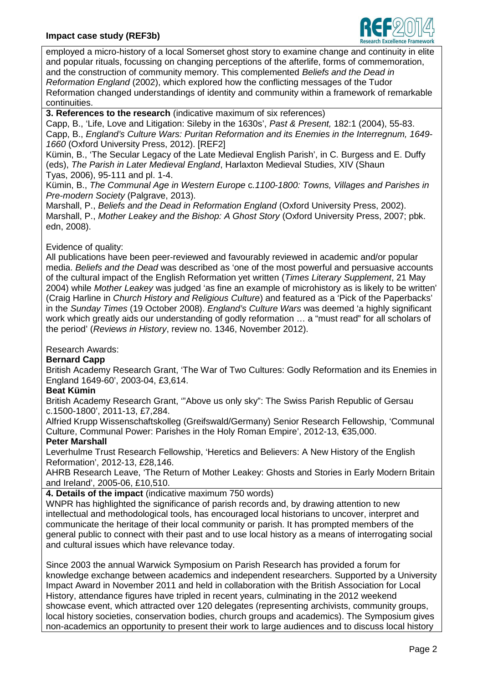

employed a micro-history of a local Somerset ghost story to examine change and continuity in elite and popular rituals, focussing on changing perceptions of the afterlife, forms of commemoration, and the construction of community memory. This complemented *Beliefs and the Dead in Reformation England* (2002), which explored how the conflicting messages of the Tudor Reformation changed understandings of identity and community within a framework of remarkable continuities.

**3. References to the research** (indicative maximum of six references)

Capp, B., 'Life, Love and Litigation: Sileby in the 1630s', *Past & Present,* 182:1 (2004), 55-83. Capp, B., *England's Culture Wars: Puritan Reformation and its Enemies in the Interregnum, 1649- 1660* (Oxford University Press, 2012). [REF2]

Kümin, B., 'The Secular Legacy of the Late Medieval English Parish', in C. Burgess and E. Duffy (eds), *The Parish in Later Medieval England*, Harlaxton Medieval Studies, XIV (Shaun Tyas, 2006), 95-111 and pl. 1-4.

Kümin, B., *The Communal Age in Western Europe* c*.1100-1800: Towns, Villages and Parishes in Pre-modern Society* (Palgrave, 2013).

Marshall, P., *Beliefs and the Dead in Reformation England* (Oxford University Press, 2002). Marshall, P., *Mother Leakey and the Bishop: A Ghost Story* (Oxford University Press, 2007; pbk. edn, 2008).

# Evidence of quality:

All publications have been peer-reviewed and favourably reviewed in academic and/or popular media. *Beliefs and the Dead* was described as 'one of the most powerful and persuasive accounts of the cultural impact of the English Reformation yet written (*Times Literary Supplement*, 21 May 2004) while *Mother Leakey* was judged 'as fine an example of microhistory as is likely to be written' (Craig Harline in *Church History and Religious Culture*) and featured as a 'Pick of the Paperbacks' in the *Sunday Times* (19 October 2008). *England's Culture Wars* was deemed 'a highly significant work which greatly aids our understanding of godly reformation … a "must read" for all scholars of the period' (*Reviews in History*, review no. 1346, November 2012).

# Research Awards:

# **Bernard Capp**

British Academy Research Grant, 'The War of Two Cultures: Godly Reformation and its Enemies in England 1649-60', 2003-04, £3,614.

#### **Beat Kümin**

British Academy Research Grant, '"Above us only sky": The Swiss Parish Republic of Gersau c.1500-1800', 2011-13, £7,284.

Alfried Krupp Wissenschaftskolleg (Greifswald/Germany) Senior Research Fellowship, 'Communal Culture, Communal Power: Parishes in the Holy Roman Empire', 2012-13, €35,000.

# **Peter Marshall**

Leverhulme Trust Research Fellowship, 'Heretics and Believers: A New History of the English Reformation', 2012-13, £28,146.

AHRB Research Leave, 'The Return of Mother Leakey: Ghosts and Stories in Early Modern Britain and Ireland', 2005-06, £10,510.

**4. Details of the impact** (indicative maximum 750 words)

WNPR has highlighted the significance of parish records and, by drawing attention to new intellectual and methodological tools, has encouraged local historians to uncover, interpret and communicate the heritage of their local community or parish. It has prompted members of the general public to connect with their past and to use local history as a means of interrogating social and cultural issues which have relevance today.

Since 2003 the annual Warwick Symposium on Parish Research has provided a forum for knowledge exchange between academics and independent researchers. Supported by a University Impact Award in November 2011 and held in collaboration with the British Association for Local History, attendance figures have tripled in recent years, culminating in the 2012 weekend showcase event, which attracted over 120 delegates (representing archivists, community groups, local history societies, conservation bodies, church groups and academics). The Symposium gives non-academics an opportunity to present their work to large audiences and to discuss local history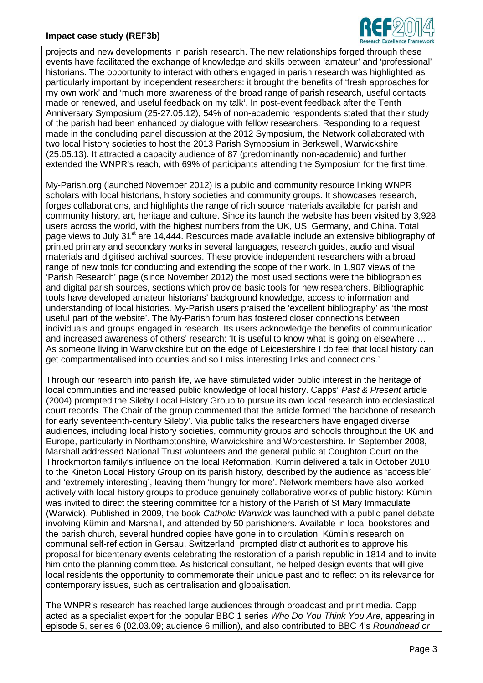# **Impact case study (REF3b)**



projects and new developments in parish research. The new relationships forged through these events have facilitated the exchange of knowledge and skills between 'amateur' and 'professional' historians. The opportunity to interact with others engaged in parish research was highlighted as particularly important by independent researchers: it brought the benefits of 'fresh approaches for my own work' and 'much more awareness of the broad range of parish research, useful contacts made or renewed, and useful feedback on my talk'. In post-event feedback after the Tenth Anniversary Symposium (25-27.05.12), 54% of non-academic respondents stated that their study of the parish had been enhanced by dialogue with fellow researchers. Responding to a request made in the concluding panel discussion at the 2012 Symposium, the Network collaborated with two local history societies to host the 2013 Parish Symposium in Berkswell, Warwickshire (25.05.13). It attracted a capacity audience of 87 (predominantly non-academic) and further extended the WNPR's reach, with 69% of participants attending the Symposium for the first time.

My-Parish.org (launched November 2012) is a public and community resource linking WNPR scholars with local historians, history societies and community groups. It showcases research, forges collaborations, and highlights the range of rich source materials available for parish and community history, art, heritage and culture. Since its launch the website has been visited by 3,928 users across the world, with the highest numbers from the UK, US, Germany, and China. Total page views to July 31<sup>st</sup> are 14,444. Resources made available include an extensive bibliography of printed primary and secondary works in several languages, research guides, audio and visual materials and digitised archival sources. These provide independent researchers with a broad range of new tools for conducting and extending the scope of their work. In 1,907 views of the 'Parish Research' page (since November 2012) the most used sections were the bibliographies and digital parish sources, sections which provide basic tools for new researchers. Bibliographic tools have developed amateur historians' background knowledge, access to information and understanding of local histories. My-Parish users praised the 'excellent bibliography' as 'the most useful part of the website'. The My-Parish forum has fostered closer connections between individuals and groups engaged in research. Its users acknowledge the benefits of communication and increased awareness of others' research: 'It is useful to know what is going on elsewhere … As someone living in Warwickshire but on the edge of Leicestershire I do feel that local history can get compartmentalised into counties and so I miss interesting links and connections.'

Through our research into parish life, we have stimulated wider public interest in the heritage of local communities and increased public knowledge of local history. Capps' *Past & Present* article (2004) prompted the Sileby Local History Group to pursue its own local research into ecclesiastical court records. The Chair of the group commented that the article formed 'the backbone of research for early seventeenth-century Sileby'. Via public talks the researchers have engaged diverse audiences, including local history societies, community groups and schools throughout the UK and Europe, particularly in Northamptonshire, Warwickshire and Worcestershire. In September 2008, Marshall addressed National Trust volunteers and the general public at Coughton Court on the Throckmorton family's influence on the local Reformation. Kümin delivered a talk in October 2010 to the Kineton Local History Group on its parish history, described by the audience as 'accessible' and 'extremely interesting', leaving them 'hungry for more'. Network members have also worked actively with local history groups to produce genuinely collaborative works of public history: Kümin was invited to direct the steering committee for a history of the Parish of St Mary Immaculate (Warwick). Published in 2009, the book *Catholic Warwick* was launched with a public panel debate involving Kümin and Marshall, and attended by 50 parishioners. Available in local bookstores and the parish church, several hundred copies have gone in to circulation. Kümin's research on communal self-reflection in Gersau, Switzerland, prompted district authorities to approve his proposal for bicentenary events celebrating the restoration of a parish republic in 1814 and to invite him onto the planning committee. As historical consultant, he helped design events that will give local residents the opportunity to commemorate their unique past and to reflect on its relevance for contemporary issues, such as centralisation and globalisation.

The WNPR's research has reached large audiences through broadcast and print media. Capp acted as a specialist expert for the popular BBC 1 series *Who Do You Think You Are*, appearing in episode 5, series 6 (02.03.09; audience 6 million), and also contributed to BBC 4's *Roundhead or*